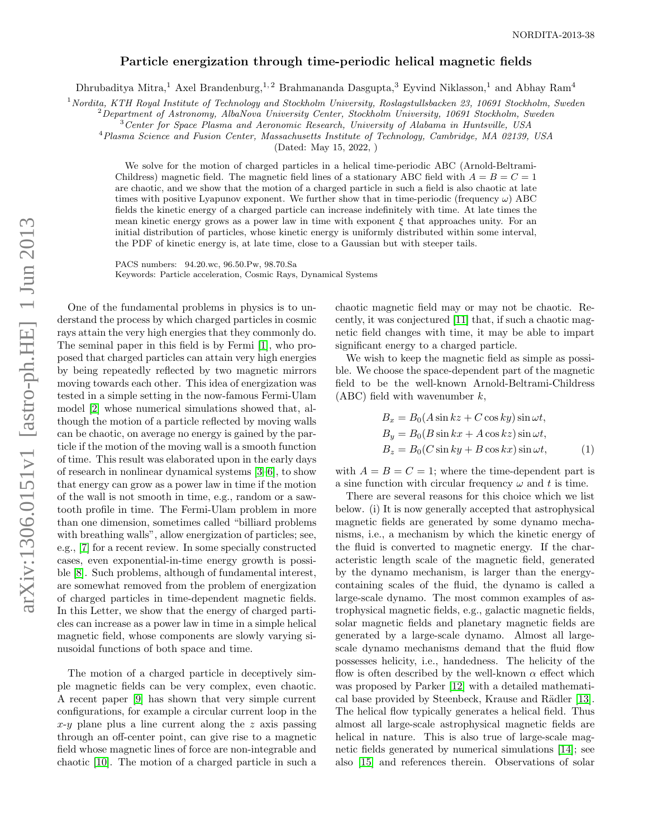## Particle energization through time-periodic helical magnetic fields

Dhrubaditya Mitra,<sup>1</sup> Axel Brandenburg,<sup>1,2</sup> Brahmananda Dasgupta,<sup>3</sup> Eyvind Niklasson,<sup>1</sup> and Abhay Ram<sup>4</sup>

 $1$ Nordita, KTH Royal Institute of Technology and Stockholm University, Roslagstullsbacken 23, 10691 Stockholm, Sweden

 $2D$ epartment of Astronomy, AlbaNova University Center, Stockholm University, 10691 Stockholm, Sweden

<sup>3</sup>Center for Space Plasma and Aeronomic Research, University of Alabama in Huntsville, USA

<sup>4</sup>Plasma Science and Fusion Center, Massachusetts Institute of Technology, Cambridge, MA 02139, USA

(Dated: May 15, 2022, )

We solve for the motion of charged particles in a helical time-periodic ABC (Arnold-Beltrami-Childress) magnetic field. The magnetic field lines of a stationary ABC field with  $A = B = C = 1$ are chaotic, and we show that the motion of a charged particle in such a field is also chaotic at late times with positive Lyapunov exponent. We further show that in time-periodic (frequency  $\omega$ ) ABC fields the kinetic energy of a charged particle can increase indefinitely with time. At late times the mean kinetic energy grows as a power law in time with exponent  $\xi$  that approaches unity. For an initial distribution of particles, whose kinetic energy is uniformly distributed within some interval, the PDF of kinetic energy is, at late time, close to a Gaussian but with steeper tails.

PACS numbers: 94.20.wc, 96.50.Pw, 98.70.Sa Keywords: Particle acceleration, Cosmic Rays, Dynamical Systems

One of the fundamental problems in physics is to understand the process by which charged particles in cosmic rays attain the very high energies that they commonly do. The seminal paper in this field is by Fermi [\[1\]](#page-3-0), who proposed that charged particles can attain very high energies by being repeatedly reflected by two magnetic mirrors moving towards each other. This idea of energization was tested in a simple setting in the now-famous Fermi-Ulam model [\[2\]](#page-3-1) whose numerical simulations showed that, although the motion of a particle reflected by moving walls can be chaotic, on average no energy is gained by the particle if the motion of the moving wall is a smooth function of time. This result was elaborated upon in the early days of research in nonlinear dynamical systems [\[3–](#page-3-2)[6\]](#page-3-3), to show that energy can grow as a power law in time if the motion of the wall is not smooth in time, e.g., random or a sawtooth profile in time. The Fermi-Ulam problem in more than one dimension, sometimes called "billiard problems with breathing walls", allow energization of particles; see, e.g., [\[7\]](#page-4-0) for a recent review. In some specially constructed cases, even exponential-in-time energy growth is possible [\[8\]](#page-4-1). Such problems, although of fundamental interest, are somewhat removed from the problem of energization of charged particles in time-dependent magnetic fields. In this Letter, we show that the energy of charged particles can increase as a power law in time in a simple helical magnetic field, whose components are slowly varying sinusoidal functions of both space and time.

The motion of a charged particle in deceptively simple magnetic fields can be very complex, even chaotic. A recent paper [\[9\]](#page-4-2) has shown that very simple current configurations, for example a circular current loop in the  $x-y$  plane plus a line current along the z axis passing through an off-center point, can give rise to a magnetic field whose magnetic lines of force are non-integrable and chaotic [\[10\]](#page-4-3). The motion of a charged particle in such a

chaotic magnetic field may or may not be chaotic. Recently, it was conjectured [\[11\]](#page-4-4) that, if such a chaotic magnetic field changes with time, it may be able to impart significant energy to a charged particle.

We wish to keep the magnetic field as simple as possible. We choose the space-dependent part of the magnetic field to be the well-known Arnold-Beltrami-Childress  $(ABC)$  field with wavenumber k,

$$
B_x = B_0(A\sin kz + C\cos ky)\sin \omega t,
$$
  
\n
$$
B_y = B_0(B\sin kx + A\cos kz)\sin \omega t,
$$
  
\n
$$
B_z = B_0(C\sin ky + B\cos kx)\sin \omega t,
$$
\n(1)

with  $A = B = C = 1$ ; where the time-dependent part is a sine function with circular frequency  $\omega$  and t is time.

There are several reasons for this choice which we list below. (i) It is now generally accepted that astrophysical magnetic fields are generated by some dynamo mechanisms, i.e., a mechanism by which the kinetic energy of the fluid is converted to magnetic energy. If the characteristic length scale of the magnetic field, generated by the dynamo mechanism, is larger than the energycontaining scales of the fluid, the dynamo is called a large-scale dynamo. The most common examples of astrophysical magnetic fields, e.g., galactic magnetic fields, solar magnetic fields and planetary magnetic fields are generated by a large-scale dynamo. Almost all largescale dynamo mechanisms demand that the fluid flow possesses helicity, i.e., handedness. The helicity of the flow is often described by the well-known  $\alpha$  effect which was proposed by Parker [\[12\]](#page-4-5) with a detailed mathemati-cal base provided by Steenbeck, Krause and Rädler [\[13\]](#page-4-6). The helical flow typically generates a helical field. Thus almost all large-scale astrophysical magnetic fields are helical in nature. This is also true of large-scale magnetic fields generated by numerical simulations [\[14\]](#page-4-7); see also [\[15\]](#page-4-8) and references therein. Observations of solar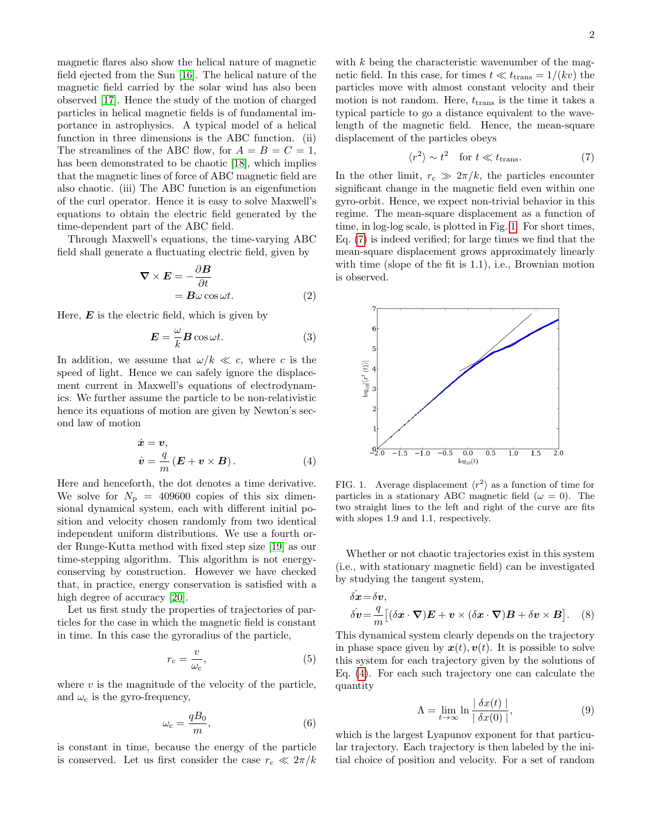magnetic flares also show the helical nature of magnetic field ejected from the Sun [\[16\]](#page-4-9). The helical nature of the magnetic field carried by the solar wind has also been observed [\[17\]](#page-4-10). Hence the study of the motion of charged particles in helical magnetic fields is of fundamental importance in astrophysics. A typical model of a helical function in three dimensions is the ABC function. (ii) The streamlines of the ABC flow, for  $A = B = C = 1$ , has been demonstrated to be chaotic [\[18\]](#page-4-11), which implies that the magnetic lines of force of ABC magnetic field are also chaotic. (iii) The ABC function is an eigenfunction of the curl operator. Hence it is easy to solve Maxwell's equations to obtain the electric field generated by the time-dependent part of the ABC field.

Through Maxwell's equations, the time-varying ABC field shall generate a fluctuating electric field, given by

$$
\nabla \times \boldsymbol{E} = -\frac{\partial \boldsymbol{B}}{\partial t} \n= \boldsymbol{B}\omega \cos \omega t.
$$
\n(2)

Here,  $\boldsymbol{E}$  is the electric field, which is given by

$$
E = -\frac{\omega}{k} B \cos \omega t.
$$
 (3)

In addition, we assume that  $\omega/k \ll c$ , where c is the speed of light. Hence we can safely ignore the displacement current in Maxwell's equations of electrodynamics. We further assume the particle to be non-relativistic hence its equations of motion are given by Newton's second law of motion

<span id="page-1-2"></span>
$$
\dot{\boldsymbol{x}} = \boldsymbol{v}, \n\dot{\boldsymbol{v}} = \frac{q}{m} (\boldsymbol{E} + \boldsymbol{v} \times \boldsymbol{B}).
$$
\n(4)

Here and henceforth, the dot denotes a time derivative. We solve for  $N_p = 409600$  copies of this six dimensional dynamical system, each with different initial position and velocity chosen randomly from two identical independent uniform distributions. We use a fourth order Runge-Kutta method with fixed step size [\[19\]](#page-4-12) as our time-stepping algorithm. This algorithm is not energyconserving by construction. However we have checked that, in practice, energy conservation is satisfied with a high degree of accuracy [\[20\]](#page-4-13).

Let us first study the properties of trajectories of particles for the case in which the magnetic field is constant in time. In this case the gyroradius of the particle,

$$
r_{\rm c} = \frac{v}{\omega_{\rm c}},\tag{5}
$$

where  $v$  is the magnitude of the velocity of the particle, and  $\omega_c$  is the gyro-frequency,

$$
\omega_{\rm c} = \frac{qB_0}{m},\tag{6}
$$

is constant in time, because the energy of the particle is conserved. Let us first consider the case  $r_c \ll 2\pi/k$ 

with  $k$  being the characteristic wavenumber of the magnetic field. In this case, for times  $t \ll t_{trans} = 1/(kv)$  the particles move with almost constant velocity and their motion is not random. Here,  $t_{trans}$  is the time it takes a typical particle to go a distance equivalent to the wavelength of the magnetic field. Hence, the mean-square displacement of the particles obeys

<span id="page-1-1"></span>
$$
\langle r^2 \rangle \sim t^2 \quad \text{for } t \ll t_{\text{trans}}.\tag{7}
$$

In the other limit,  $r_c \gg 2\pi/k$ , the particles encounter significant change in the magnetic field even within one gyro-orbit. Hence, we expect non-trivial behavior in this regime. The mean-square displacement as a function of time, in log-log scale, is plotted in Fig. [1.](#page-1-0) For short times, Eq. [\(7\)](#page-1-1) is indeed verified; for large times we find that the mean-square displacement grows approximately linearly with time (slope of the fit is 1.1), i.e., Brownian motion is observed.



<span id="page-1-0"></span>FIG. 1. Average displacement  $\langle r^2 \rangle$  as a function of time for particles in a stationary ABC magnetic field ( $\omega = 0$ ). The two straight lines to the left and right of the curve are fits with slopes 1.9 and 1.1, respectively.

Whether or not chaotic trajectories exist in this system (i.e., with stationary magnetic field) can be investigated by studying the tangent system,

$$
\dot{\delta x} = \delta v,
$$
  
\n
$$
\dot{\delta v} = \frac{q}{m} [(\delta x \cdot \nabla) \mathbf{E} + \mathbf{v} \times (\delta x \cdot \nabla) \mathbf{B} + \delta v \times \mathbf{B}].
$$
 (8)

This dynamical system clearly depends on the trajectory in phase space given by  $x(t)$ ,  $v(t)$ . It is possible to solve this system for each trajectory given by the solutions of Eq. [\(4\)](#page-1-2). For each such trajectory one can calculate the quantity

<span id="page-1-3"></span>
$$
\Lambda = \lim_{t \to \infty} \ln \frac{|\delta x(t)|}{|\delta x(0)|},\tag{9}
$$

which is the largest Lyapunov exponent for that particular trajectory. Each trajectory is then labeled by the initial choice of position and velocity. For a set of random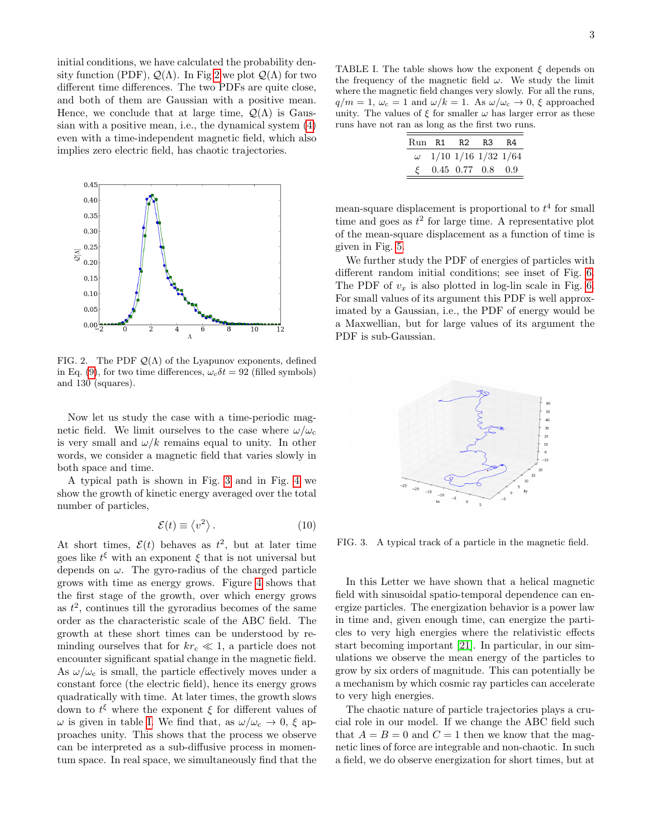initial conditions, we have calculated the probability density function (PDF),  $\mathcal{Q}(\Lambda)$ . In Fig [2](#page-2-0) we plot  $\mathcal{Q}(\Lambda)$  for two different time differences. The two PDFs are quite close, and both of them are Gaussian with a positive mean. Hence, we conclude that at large time,  $\mathcal{Q}(\Lambda)$  is Gaussian with a positive mean, i.e., the dynamical system [\(4\)](#page-1-2) even with a time-independent magnetic field, which also implies zero electric field, has chaotic trajectories.



<span id="page-2-0"></span>FIG. 2. The PDF  $\mathcal{Q}(\Lambda)$  of the Lyapunov exponents, defined in Eq. [\(9\)](#page-1-3), for two time differences,  $\omega_c \delta t = 92$  (filled symbols) and 130 (squares).

Now let us study the case with a time-periodic magnetic field. We limit ourselves to the case where  $\omega/\omega_c$ is very small and  $\omega/k$  remains equal to unity. In other words, we consider a magnetic field that varies slowly in both space and time.

A typical path is shown in Fig. [3](#page-2-1) and in Fig. [4](#page-3-4) we show the growth of kinetic energy averaged over the total number of particles,

$$
\mathcal{E}(t) \equiv \langle v^2 \rangle. \tag{10}
$$

At short times,  $\mathcal{E}(t)$  behaves as  $t^2$ , but at later time goes like  $t^{\xi}$  with an exponent  $\xi$  that is not universal but depends on  $\omega$ . The gyro-radius of the charged particle grows with time as energy grows. Figure [4](#page-3-4) shows that the first stage of the growth, over which energy grows as  $t^2$ , continues till the gyroradius becomes of the same order as the characteristic scale of the ABC field. The growth at these short times can be understood by reminding ourselves that for  $kr_c \ll 1$ , a particle does not encounter significant spatial change in the magnetic field. As  $\omega/\omega_c$  is small, the particle effectively moves under a constant force (the electric field), hence its energy grows quadratically with time. At later times, the growth slows down to  $t^{\xi}$  where the exponent  $\xi$  for different values of  $\omega$  is given in table [I.](#page-2-2) We find that, as  $\omega/\omega_c \rightarrow 0$ ,  $\xi$  approaches unity. This shows that the process we observe can be interpreted as a sub-diffusive process in momentum space. In real space, we simultaneously find that the

<span id="page-2-2"></span>TABLE I. The table shows how the exponent  $\xi$  depends on the frequency of the magnetic field  $\omega$ . We study the limit where the magnetic field changes very slowly. For all the runs,  $q/m = 1$ ,  $\omega_c = 1$  and  $\omega/k = 1$ . As  $\omega/\omega_c \rightarrow 0$ ,  $\xi$  approached unity. The values of  $\xi$  for smaller  $\omega$  has larger error as these runs have not ran as long as the first two runs.

|               | Run R1 R2 R3 R4 |                             |     |
|---------------|-----------------|-----------------------------|-----|
| $\omega$      |                 | $1/10$ $1/16$ $1/32$ $1/64$ |     |
| $\mathcal{E}$ |                 | $0.45$ 0.77 0.8             | 0.9 |

mean-square displacement is proportional to  $t<sup>4</sup>$  for small time and goes as  $t^2$  for large time. A representative plot of the mean-square displacement as a function of time is given in Fig. [5.](#page-3-5)

We further study the PDF of energies of particles with different random initial conditions; see inset of Fig. [6.](#page-3-6) The PDF of  $v_x$  is also plotted in log-lin scale in Fig. [6.](#page-3-6) For small values of its argument this PDF is well approximated by a Gaussian, i.e., the PDF of energy would be a Maxwellian, but for large values of its argument the PDF is sub-Gaussian.



<span id="page-2-1"></span>FIG. 3. A typical track of a particle in the magnetic field.

In this Letter we have shown that a helical magnetic field with sinusoidal spatio-temporal dependence can energize particles. The energization behavior is a power law in time and, given enough time, can energize the particles to very high energies where the relativistic effects start becoming important [\[21\]](#page-4-14). In particular, in our simulations we observe the mean energy of the particles to grow by six orders of magnitude. This can potentially be a mechanism by which cosmic ray particles can accelerate to very high energies.

The chaotic nature of particle trajectories plays a crucial role in our model. If we change the ABC field such that  $A = B = 0$  and  $C = 1$  then we know that the magnetic lines of force are integrable and non-chaotic. In such a field, we do observe energization for short times, but at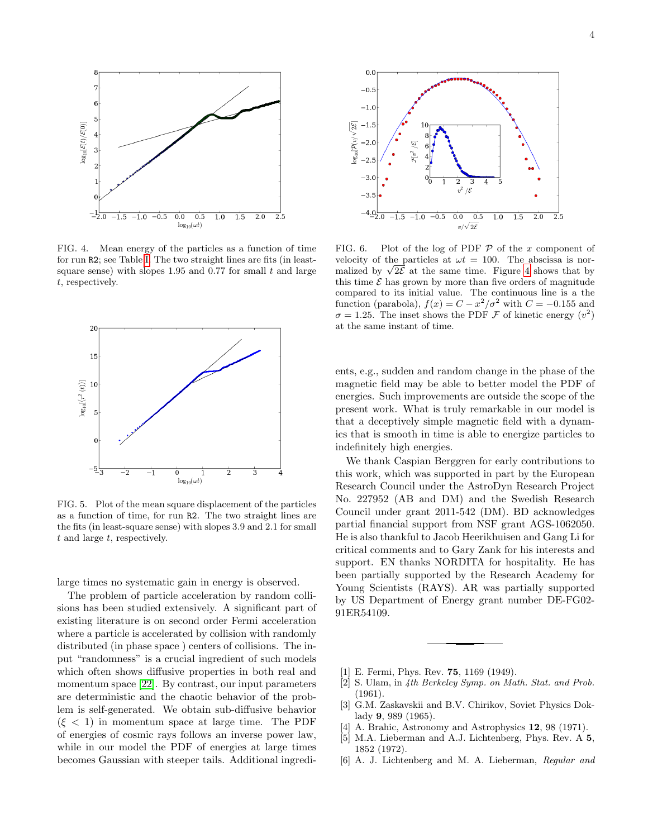

<span id="page-3-4"></span>FIG. 4. Mean energy of the particles as a function of time for run R2; see Table [I.](#page-2-2) The two straight lines are fits (in leastsquare sense) with slopes 1.95 and 0.77 for small  $t$  and large t, respectively.



<span id="page-3-5"></span>FIG. 5. Plot of the mean square displacement of the particles as a function of time, for run R2. The two straight lines are the fits (in least-square sense) with slopes 3.9 and 2.1 for small  $t$  and large  $t$ , respectively.

large times no systematic gain in energy is observed.

The problem of particle acceleration by random collisions has been studied extensively. A significant part of existing literature is on second order Fermi acceleration where a particle is accelerated by collision with randomly distributed (in phase space ) centers of collisions. The input "randomness" is a crucial ingredient of such models which often shows diffusive properties in both real and momentum space [\[22\]](#page-4-15). By contrast, our input parameters are deterministic and the chaotic behavior of the problem is self-generated. We obtain sub-diffusive behavior  $(\xi < 1)$  in momentum space at large time. The PDF of energies of cosmic rays follows an inverse power law, while in our model the PDF of energies at large times becomes Gaussian with steeper tails. Additional ingredi-



<span id="page-3-6"></span>FIG. 6. Plot of the log of PDF  $P$  of the x component of velocity of the particles at  $\omega t = 100$ . The abscissa is norvelocity of the particles at  $\omega t = 100$ . The abscissa is nor-<br>malized by  $\sqrt{2\mathcal{E}}$  at the same time. Figure [4](#page-3-4) shows that by this time  $\mathcal E$  has grown by more than five orders of magnitude compared to its initial value. The continuous line is a the function (parabola),  $f(x) = C - x^2/\sigma^2$  with  $C = -0.155$  and  $\sigma = 1.25$ . The inset shows the PDF F of kinetic energy  $(v^2)$ at the same instant of time.

ents, e.g., sudden and random change in the phase of the magnetic field may be able to better model the PDF of energies. Such improvements are outside the scope of the present work. What is truly remarkable in our model is that a deceptively simple magnetic field with a dynamics that is smooth in time is able to energize particles to indefinitely high energies.

We thank Caspian Berggren for early contributions to this work, which was supported in part by the European Research Council under the AstroDyn Research Project No. 227952 (AB and DM) and the Swedish Research Council under grant 2011-542 (DM). BD acknowledges partial financial support from NSF grant AGS-1062050. He is also thankful to Jacob Heerikhuisen and Gang Li for critical comments and to Gary Zank for his interests and support. EN thanks NORDITA for hospitality. He has been partially supported by the Research Academy for Young Scientists (RAYS). AR was partially supported by US Department of Energy grant number DE-FG02- 91ER54109.

- <span id="page-3-0"></span>[1] E. Fermi, Phys. Rev. 75, 1169 (1949).
- <span id="page-3-1"></span>[2] S. Ulam, in 4th Berkeley Symp. on Math. Stat. and Prob. (1961).
- <span id="page-3-2"></span>[3] G.M. Zaskavskii and B.V. Chirikov, Soviet Physics Doklady 9, 989 (1965).
- [4] A. Brahic, Astronomy and Astrophysics 12, 98 (1971).
- [5] M.A. Lieberman and A.J. Lichtenberg, Phys. Rev. A 5, 1852 (1972).
- <span id="page-3-3"></span>[6] A. J. Lichtenberg and M. A. Lieberman, Regular and